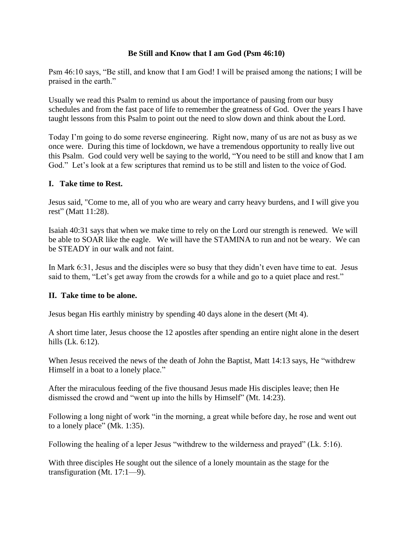# **Be Still and Know that I am God (Psm 46:10)**

Psm 46:10 says, "Be still, and know that I am God! I will be praised among the nations; I will be praised in the earth."

Usually we read this Psalm to remind us about the importance of pausing from our busy schedules and from the fast pace of life to remember the greatness of God. Over the years I have taught lessons from this Psalm to point out the need to slow down and think about the Lord.

Today I'm going to do some reverse engineering. Right now, many of us are not as busy as we once were. During this time of lockdown, we have a tremendous opportunity to really live out this Psalm. God could very well be saying to the world, "You need to be still and know that I am God." Let's look at a few scriptures that remind us to be still and listen to the voice of God.

### **I. Take time to Rest.**

Jesus said, "Come to me, all of you who are weary and carry heavy burdens, and I will give you rest" (Matt 11:28).

Isaiah 40:31 says that when we make time to rely on the Lord our strength is renewed. We will be able to SOAR like the eagle. We will have the STAMINA to run and not be weary. We can be STEADY in our walk and not faint.

In Mark 6:31, Jesus and the disciples were so busy that they didn't even have time to eat. Jesus said to them, "Let's get away from the crowds for a while and go to a quiet place and rest."

### **II. Take time to be alone.**

Jesus began His earthly ministry by spending 40 days alone in the desert (Mt 4).

A short time later, Jesus choose the 12 apostles after spending an entire night alone in the desert hills (Lk. 6:12).

When Jesus received the news of the death of John the Baptist, Matt 14:13 says, He "withdrew Himself in a boat to a lonely place."

After the miraculous feeding of the five thousand Jesus made His disciples leave; then He dismissed the crowd and "went up into the hills by Himself" (Mt. 14:23).

Following a long night of work "in the morning, a great while before day, he rose and went out to a lonely place" (Mk. 1:35).

Following the healing of a leper Jesus "withdrew to the wilderness and prayed" (Lk. 5:16).

With three disciples He sought out the silence of a lonely mountain as the stage for the transfiguration (Mt. 17:1—9).